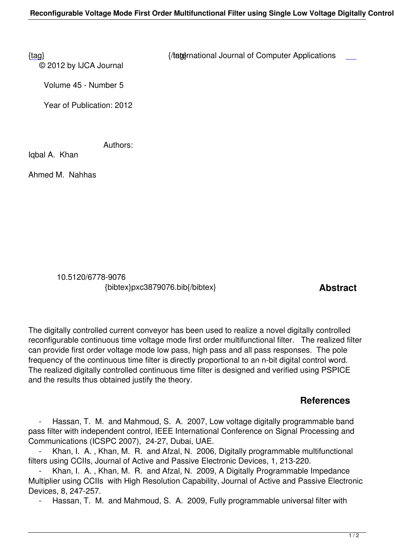© 2012 by IJCA Journal

{tag} International Journal of Computer Applications

Volume 45 - Number 5

Year of Publication: 2012

Authors:

Iqbal A. Khan

Ahmed M. Nahhas

 10.5120/6778-9076 {bibtex}pxc3879076.bib{/bibtex} **Abstract** 

The digitally controlled current conveyor has been used to realize a novel digitally controlled reconfigurable continuous time voltage mode first order multifunctional filter. The realized filter can provide first order voltage mode low pass, high pass and all pass responses. The pole frequency of the continuous time filter is directly proportional to an n-bit digital control word. The realized digitally controlled continuous time filter is designed and verified using PSPICE and the results thus obtained justify the theory.

## **References**

Hassan, T. M. and Mahmoud, S. A. 2007, Low voltage digitally programmable band pass filter with independent control, IEEE International Conference on Signal Processing and Communications (ICSPC 2007), 24-27, Dubai, UAE.

 - Khan, I. A. , Khan, M. R. and Afzal, N. 2006, Digitally programmable multifunctional filters using CCIIs, Journal of Active and Passive Electronic Devices, 1, 213-220.

Khan, I. A., Khan, M. R. and Afzal, N. 2009, A Digitally Programmable Impedance Multiplier using CCIIs with High Resolution Capability, Journal of Active and Passive Electronic Devices, 8, 247-257.

Hassan, T. M. and Mahmoud, S. A. 2009, Fully programmable universal filter with